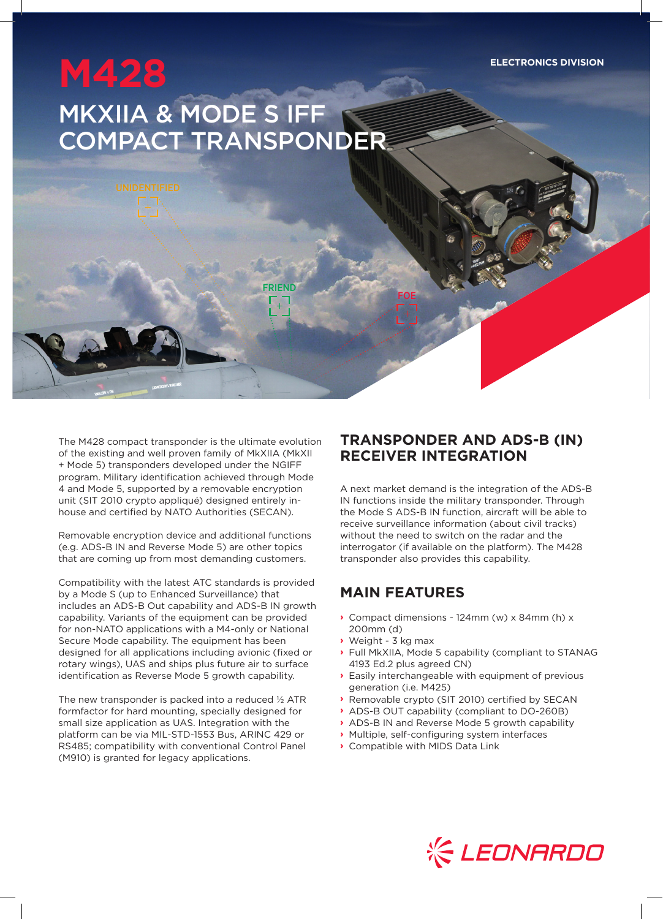**ELECTRONICS DIVISION**

# **M428** MKXIIA & MODE S IFF COMPACT TRANSPONDER

FRIEND

The M428 compact transponder is the ultimate evolution of the existing and well proven family of MkXIIA (MkXII + Mode 5) transponders developed under the NGIFF program. Military identification achieved through Mode 4 and Mode 5, supported by a removable encryption unit (SIT 2010 crypto appliqué) designed entirely inhouse and certified by NATO Authorities (SECAN).

Removable encryption device and additional functions (e.g. ADS-B IN and Reverse Mode 5) are other topics that are coming up from most demanding customers.

Compatibility with the latest ATC standards is provided by a Mode S (up to Enhanced Surveillance) that includes an ADS-B Out capability and ADS-B IN growth capability. Variants of the equipment can be provided for non-NATO applications with a M4-only or National Secure Mode capability. The equipment has been designed for all applications including avionic (fixed or rotary wings), UAS and ships plus future air to surface identification as Reverse Mode 5 growth capability.

The new transponder is packed into a reduced ½ ATR formfactor for hard mounting, specially designed for small size application as UAS. Integration with the platform can be via MIL-STD-1553 Bus, ARINC 429 or RS485; compatibility with conventional Control Panel (M910) is granted for legacy applications.

### **TRANSPONDER AND ADS-B (IN) RECEIVER INTEGRATION**

A next market demand is the integration of the ADS-B IN functions inside the military transponder. Through the Mode S ADS-B IN function, aircraft will be able to receive surveillance information (about civil tracks) without the need to switch on the radar and the interrogator (if available on the platform). The M428 transponder also provides this capability.

#### **MAIN FEATURES**

FOE

- **›** Compact dimensions 124mm (w) x 84mm (h) x 200mm (d)
- **›** Weight 3 kg max
- **›** Full MkXIIA, Mode 5 capability (compliant to STANAG 4193 Ed.2 plus agreed CN)
- **›** Easily interchangeable with equipment of previous generation (i.e. M425)
- **›** Removable crypto (SIT 2010) certified by SECAN
- **›** ADS-B OUT capability (compliant to DO-260B)
- **›** ADS-B IN and Reverse Mode 5 growth capability
- **›** Multiple, self-configuring system interfaces
- **›** Compatible with MIDS Data Link